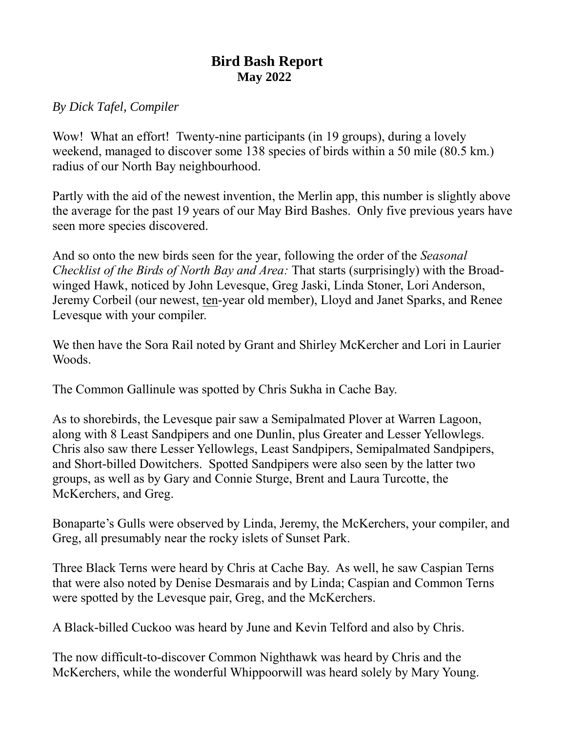## **Bird Bash Report May 2022**

## *By Dick Tafel, Compiler*

Wow! What an effort! Twenty-nine participants (in 19 groups), during a lovely weekend, managed to discover some 138 species of birds within a 50 mile (80.5 km.) radius of our North Bay neighbourhood.

Partly with the aid of the newest invention, the Merlin app, this number is slightly above the average for the past 19 years of our May Bird Bashes. Only five previous years have seen more species discovered.

And so onto the new birds seen for the year, following the order of the *Seasonal Checklist of the Birds of North Bay and Area:* That starts (surprisingly) with the Broadwinged Hawk, noticed by John Levesque, Greg Jaski, Linda Stoner, Lori Anderson, Jeremy Corbeil (our newest, ten-year old member), Lloyd and Janet Sparks, and Renee Levesque with your compiler.

We then have the Sora Rail noted by Grant and Shirley McKercher and Lori in Laurier Woods.

The Common Gallinule was spotted by Chris Sukha in Cache Bay.

As to shorebirds, the Levesque pair saw a Semipalmated Plover at Warren Lagoon, along with 8 Least Sandpipers and one Dunlin, plus Greater and Lesser Yellowlegs. Chris also saw there Lesser Yellowlegs, Least Sandpipers, Semipalmated Sandpipers, and Short-billed Dowitchers. Spotted Sandpipers were also seen by the latter two groups, as well as by Gary and Connie Sturge, Brent and Laura Turcotte, the McKerchers, and Greg.

Bonaparte's Gulls were observed by Linda, Jeremy, the McKerchers, your compiler, and Greg, all presumably near the rocky islets of Sunset Park.

Three Black Terns were heard by Chris at Cache Bay. As well, he saw Caspian Terns that were also noted by Denise Desmarais and by Linda; Caspian and Common Terns were spotted by the Levesque pair, Greg, and the McKerchers.

A Black-billed Cuckoo was heard by June and Kevin Telford and also by Chris.

The now difficult-to-discover Common Nighthawk was heard by Chris and the McKerchers, while the wonderful Whippoorwill was heard solely by Mary Young.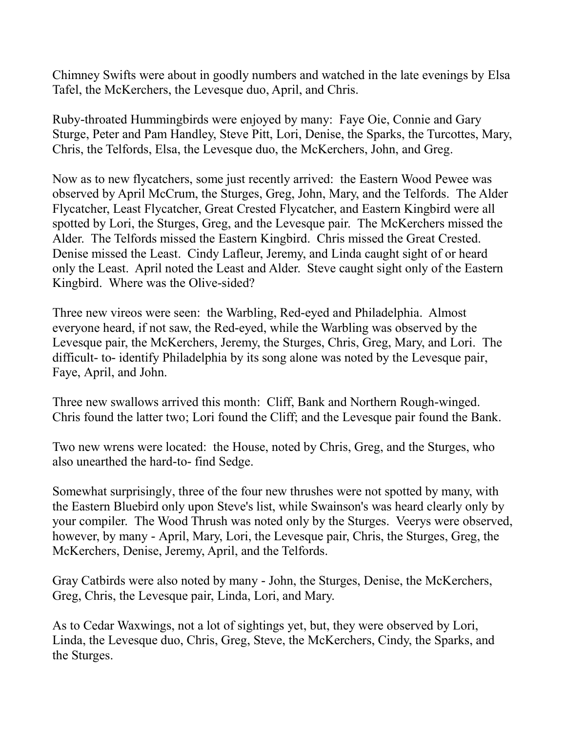Chimney Swifts were about in goodly numbers and watched in the late evenings by Elsa Tafel, the McKerchers, the Levesque duo, April, and Chris.

Ruby-throated Hummingbirds were enjoyed by many: Faye Oie, Connie and Gary Sturge, Peter and Pam Handley, Steve Pitt, Lori, Denise, the Sparks, the Turcottes, Mary, Chris, the Telfords, Elsa, the Levesque duo, the McKerchers, John, and Greg.

Now as to new flycatchers, some just recently arrived: the Eastern Wood Pewee was observed by April McCrum, the Sturges, Greg, John, Mary, and the Telfords. The Alder Flycatcher, Least Flycatcher, Great Crested Flycatcher, and Eastern Kingbird were all spotted by Lori, the Sturges, Greg, and the Levesque pair. The McKerchers missed the Alder. The Telfords missed the Eastern Kingbird. Chris missed the Great Crested. Denise missed the Least. Cindy Lafleur, Jeremy, and Linda caught sight of or heard only the Least. April noted the Least and Alder. Steve caught sight only of the Eastern Kingbird. Where was the Olive-sided?

Three new vireos were seen: the Warbling, Red-eyed and Philadelphia. Almost everyone heard, if not saw, the Red-eyed, while the Warbling was observed by the Levesque pair, the McKerchers, Jeremy, the Sturges, Chris, Greg, Mary, and Lori. The difficult- to- identify Philadelphia by its song alone was noted by the Levesque pair, Faye, April, and John.

Three new swallows arrived this month: Cliff, Bank and Northern Rough-winged. Chris found the latter two; Lori found the Cliff; and the Levesque pair found the Bank.

Two new wrens were located: the House, noted by Chris, Greg, and the Sturges, who also unearthed the hard-to- find Sedge.

Somewhat surprisingly, three of the four new thrushes were not spotted by many, with the Eastern Bluebird only upon Steve's list, while Swainson's was heard clearly only by your compiler. The Wood Thrush was noted only by the Sturges. Veerys were observed, however, by many - April, Mary, Lori, the Levesque pair, Chris, the Sturges, Greg, the McKerchers, Denise, Jeremy, April, and the Telfords.

Gray Catbirds were also noted by many - John, the Sturges, Denise, the McKerchers, Greg, Chris, the Levesque pair, Linda, Lori, and Mary.

As to Cedar Waxwings, not a lot of sightings yet, but, they were observed by Lori, Linda, the Levesque duo, Chris, Greg, Steve, the McKerchers, Cindy, the Sparks, and the Sturges.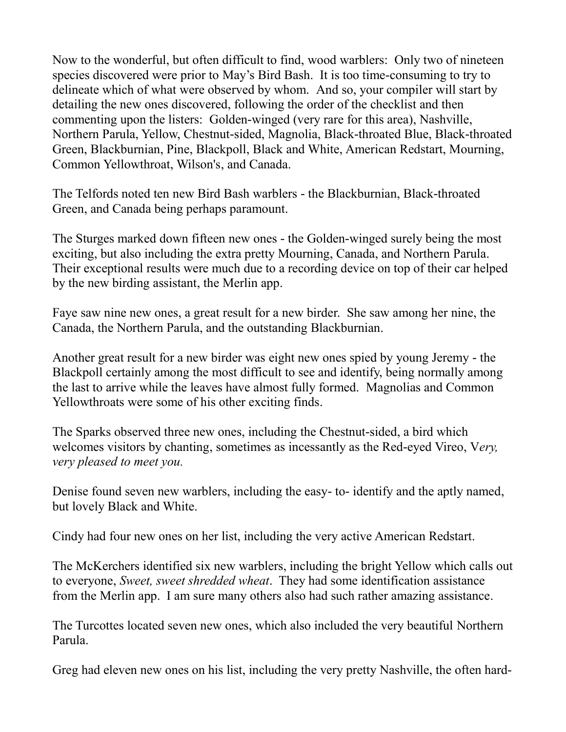Now to the wonderful, but often difficult to find, wood warblers: Only two of nineteen species discovered were prior to May's Bird Bash. It is too time-consuming to try to delineate which of what were observed by whom. And so, your compiler will start by detailing the new ones discovered, following the order of the checklist and then commenting upon the listers: Golden-winged (very rare for this area), Nashville, Northern Parula, Yellow, Chestnut-sided, Magnolia, Black-throated Blue, Black-throated Green, Blackburnian, Pine, Blackpoll, Black and White, American Redstart, Mourning, Common Yellowthroat, Wilson's, and Canada.

The Telfords noted ten new Bird Bash warblers - the Blackburnian, Black-throated Green, and Canada being perhaps paramount.

The Sturges marked down fifteen new ones - the Golden-winged surely being the most exciting, but also including the extra pretty Mourning, Canada, and Northern Parula. Their exceptional results were much due to a recording device on top of their car helped by the new birding assistant, the Merlin app.

Faye saw nine new ones, a great result for a new birder. She saw among her nine, the Canada, the Northern Parula, and the outstanding Blackburnian.

Another great result for a new birder was eight new ones spied by young Jeremy - the Blackpoll certainly among the most difficult to see and identify, being normally among the last to arrive while the leaves have almost fully formed. Magnolias and Common Yellowthroats were some of his other exciting finds.

The Sparks observed three new ones, including the Chestnut-sided, a bird which welcomes visitors by chanting, sometimes as incessantly as the Red-eyed Vireo, V*ery, very pleased to meet you.*

Denise found seven new warblers, including the easy- to- identify and the aptly named, but lovely Black and White.

Cindy had four new ones on her list, including the very active American Redstart.

The McKerchers identified six new warblers, including the bright Yellow which calls out to everyone, *Sweet, sweet shredded wheat*. They had some identification assistance from the Merlin app. I am sure many others also had such rather amazing assistance.

The Turcottes located seven new ones, which also included the very beautiful Northern Parula.

Greg had eleven new ones on his list, including the very pretty Nashville, the often hard-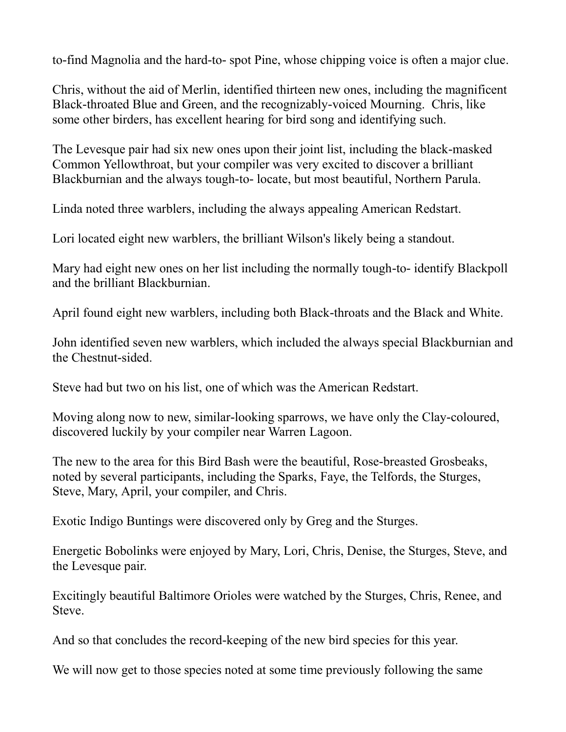to-find Magnolia and the hard-to- spot Pine, whose chipping voice is often a major clue.

Chris, without the aid of Merlin, identified thirteen new ones, including the magnificent Black-throated Blue and Green, and the recognizably-voiced Mourning. Chris, like some other birders, has excellent hearing for bird song and identifying such.

The Levesque pair had six new ones upon their joint list, including the black-masked Common Yellowthroat, but your compiler was very excited to discover a brilliant Blackburnian and the always tough-to- locate, but most beautiful, Northern Parula.

Linda noted three warblers, including the always appealing American Redstart.

Lori located eight new warblers, the brilliant Wilson's likely being a standout.

Mary had eight new ones on her list including the normally tough-to- identify Blackpoll and the brilliant Blackburnian.

April found eight new warblers, including both Black-throats and the Black and White.

John identified seven new warblers, which included the always special Blackburnian and the Chestnut-sided.

Steve had but two on his list, one of which was the American Redstart.

Moving along now to new, similar-looking sparrows, we have only the Clay-coloured, discovered luckily by your compiler near Warren Lagoon.

The new to the area for this Bird Bash were the beautiful, Rose-breasted Grosbeaks, noted by several participants, including the Sparks, Faye, the Telfords, the Sturges, Steve, Mary, April, your compiler, and Chris.

Exotic Indigo Buntings were discovered only by Greg and the Sturges.

Energetic Bobolinks were enjoyed by Mary, Lori, Chris, Denise, the Sturges, Steve, and the Levesque pair.

Excitingly beautiful Baltimore Orioles were watched by the Sturges, Chris, Renee, and Steve.

And so that concludes the record-keeping of the new bird species for this year.

We will now get to those species noted at some time previously following the same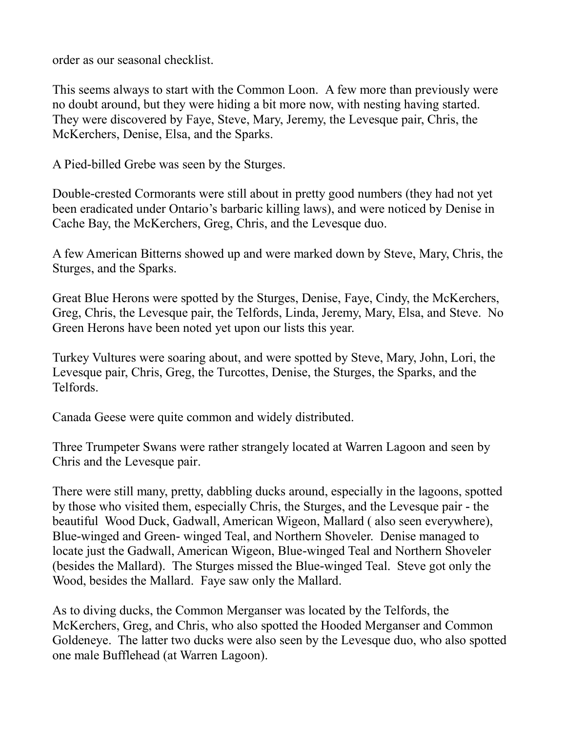order as our seasonal checklist.

This seems always to start with the Common Loon. A few more than previously were no doubt around, but they were hiding a bit more now, with nesting having started. They were discovered by Faye, Steve, Mary, Jeremy, the Levesque pair, Chris, the McKerchers, Denise, Elsa, and the Sparks.

A Pied-billed Grebe was seen by the Sturges.

Double-crested Cormorants were still about in pretty good numbers (they had not yet been eradicated under Ontario's barbaric killing laws), and were noticed by Denise in Cache Bay, the McKerchers, Greg, Chris, and the Levesque duo.

A few American Bitterns showed up and were marked down by Steve, Mary, Chris, the Sturges, and the Sparks.

Great Blue Herons were spotted by the Sturges, Denise, Faye, Cindy, the McKerchers, Greg, Chris, the Levesque pair, the Telfords, Linda, Jeremy, Mary, Elsa, and Steve. No Green Herons have been noted yet upon our lists this year.

Turkey Vultures were soaring about, and were spotted by Steve, Mary, John, Lori, the Levesque pair, Chris, Greg, the Turcottes, Denise, the Sturges, the Sparks, and the Telfords.

Canada Geese were quite common and widely distributed.

Three Trumpeter Swans were rather strangely located at Warren Lagoon and seen by Chris and the Levesque pair.

There were still many, pretty, dabbling ducks around, especially in the lagoons, spotted by those who visited them, especially Chris, the Sturges, and the Levesque pair - the beautiful Wood Duck, Gadwall, American Wigeon, Mallard ( also seen everywhere), Blue-winged and Green- winged Teal, and Northern Shoveler. Denise managed to locate just the Gadwall, American Wigeon, Blue-winged Teal and Northern Shoveler (besides the Mallard). The Sturges missed the Blue-winged Teal. Steve got only the Wood, besides the Mallard. Faye saw only the Mallard.

As to diving ducks, the Common Merganser was located by the Telfords, the McKerchers, Greg, and Chris, who also spotted the Hooded Merganser and Common Goldeneye. The latter two ducks were also seen by the Levesque duo, who also spotted one male Bufflehead (at Warren Lagoon).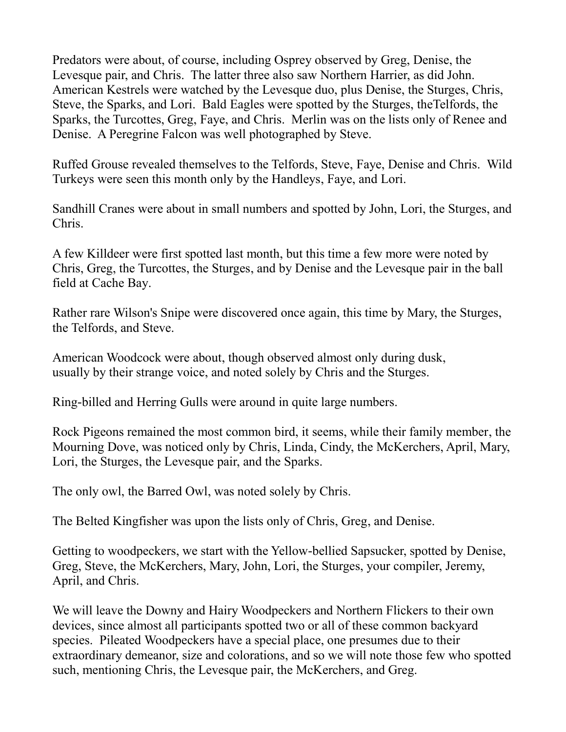Predators were about, of course, including Osprey observed by Greg, Denise, the Levesque pair, and Chris. The latter three also saw Northern Harrier, as did John. American Kestrels were watched by the Levesque duo, plus Denise, the Sturges, Chris, Steve, the Sparks, and Lori. Bald Eagles were spotted by the Sturges, theTelfords, the Sparks, the Turcottes, Greg, Faye, and Chris. Merlin was on the lists only of Renee and Denise. A Peregrine Falcon was well photographed by Steve.

Ruffed Grouse revealed themselves to the Telfords, Steve, Faye, Denise and Chris. Wild Turkeys were seen this month only by the Handleys, Faye, and Lori.

Sandhill Cranes were about in small numbers and spotted by John, Lori, the Sturges, and Chris.

A few Killdeer were first spotted last month, but this time a few more were noted by Chris, Greg, the Turcottes, the Sturges, and by Denise and the Levesque pair in the ball field at Cache Bay.

Rather rare Wilson's Snipe were discovered once again, this time by Mary, the Sturges, the Telfords, and Steve.

American Woodcock were about, though observed almost only during dusk, usually by their strange voice, and noted solely by Chris and the Sturges.

Ring-billed and Herring Gulls were around in quite large numbers.

Rock Pigeons remained the most common bird, it seems, while their family member, the Mourning Dove, was noticed only by Chris, Linda, Cindy, the McKerchers, April, Mary, Lori, the Sturges, the Levesque pair, and the Sparks.

The only owl, the Barred Owl, was noted solely by Chris.

The Belted Kingfisher was upon the lists only of Chris, Greg, and Denise.

Getting to woodpeckers, we start with the Yellow-bellied Sapsucker, spotted by Denise, Greg, Steve, the McKerchers, Mary, John, Lori, the Sturges, your compiler, Jeremy, April, and Chris.

We will leave the Downy and Hairy Woodpeckers and Northern Flickers to their own devices, since almost all participants spotted two or all of these common backyard species. Pileated Woodpeckers have a special place, one presumes due to their extraordinary demeanor, size and colorations, and so we will note those few who spotted such, mentioning Chris, the Levesque pair, the McKerchers, and Greg.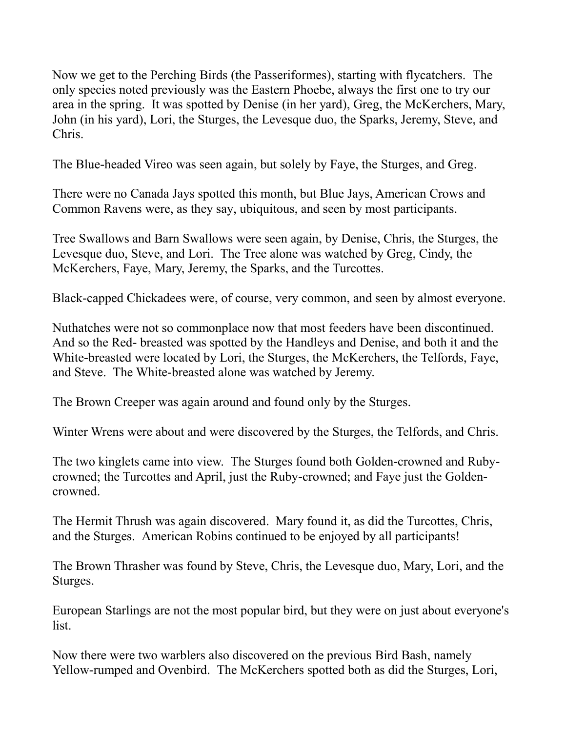Now we get to the Perching Birds (the Passeriformes), starting with flycatchers. The only species noted previously was the Eastern Phoebe, always the first one to try our area in the spring. It was spotted by Denise (in her yard), Greg, the McKerchers, Mary, John (in his yard), Lori, the Sturges, the Levesque duo, the Sparks, Jeremy, Steve, and Chris.

The Blue-headed Vireo was seen again, but solely by Faye, the Sturges, and Greg.

There were no Canada Jays spotted this month, but Blue Jays, American Crows and Common Ravens were, as they say, ubiquitous, and seen by most participants.

Tree Swallows and Barn Swallows were seen again, by Denise, Chris, the Sturges, the Levesque duo, Steve, and Lori. The Tree alone was watched by Greg, Cindy, the McKerchers, Faye, Mary, Jeremy, the Sparks, and the Turcottes.

Black-capped Chickadees were, of course, very common, and seen by almost everyone.

Nuthatches were not so commonplace now that most feeders have been discontinued. And so the Red- breasted was spotted by the Handleys and Denise, and both it and the White-breasted were located by Lori, the Sturges, the McKerchers, the Telfords, Faye, and Steve. The White-breasted alone was watched by Jeremy.

The Brown Creeper was again around and found only by the Sturges.

Winter Wrens were about and were discovered by the Sturges, the Telfords, and Chris.

The two kinglets came into view. The Sturges found both Golden-crowned and Rubycrowned; the Turcottes and April, just the Ruby-crowned; and Faye just the Goldencrowned.

The Hermit Thrush was again discovered. Mary found it, as did the Turcottes, Chris, and the Sturges. American Robins continued to be enjoyed by all participants!

The Brown Thrasher was found by Steve, Chris, the Levesque duo, Mary, Lori, and the Sturges.

European Starlings are not the most popular bird, but they were on just about everyone's list.

Now there were two warblers also discovered on the previous Bird Bash, namely Yellow-rumped and Ovenbird. The McKerchers spotted both as did the Sturges, Lori,